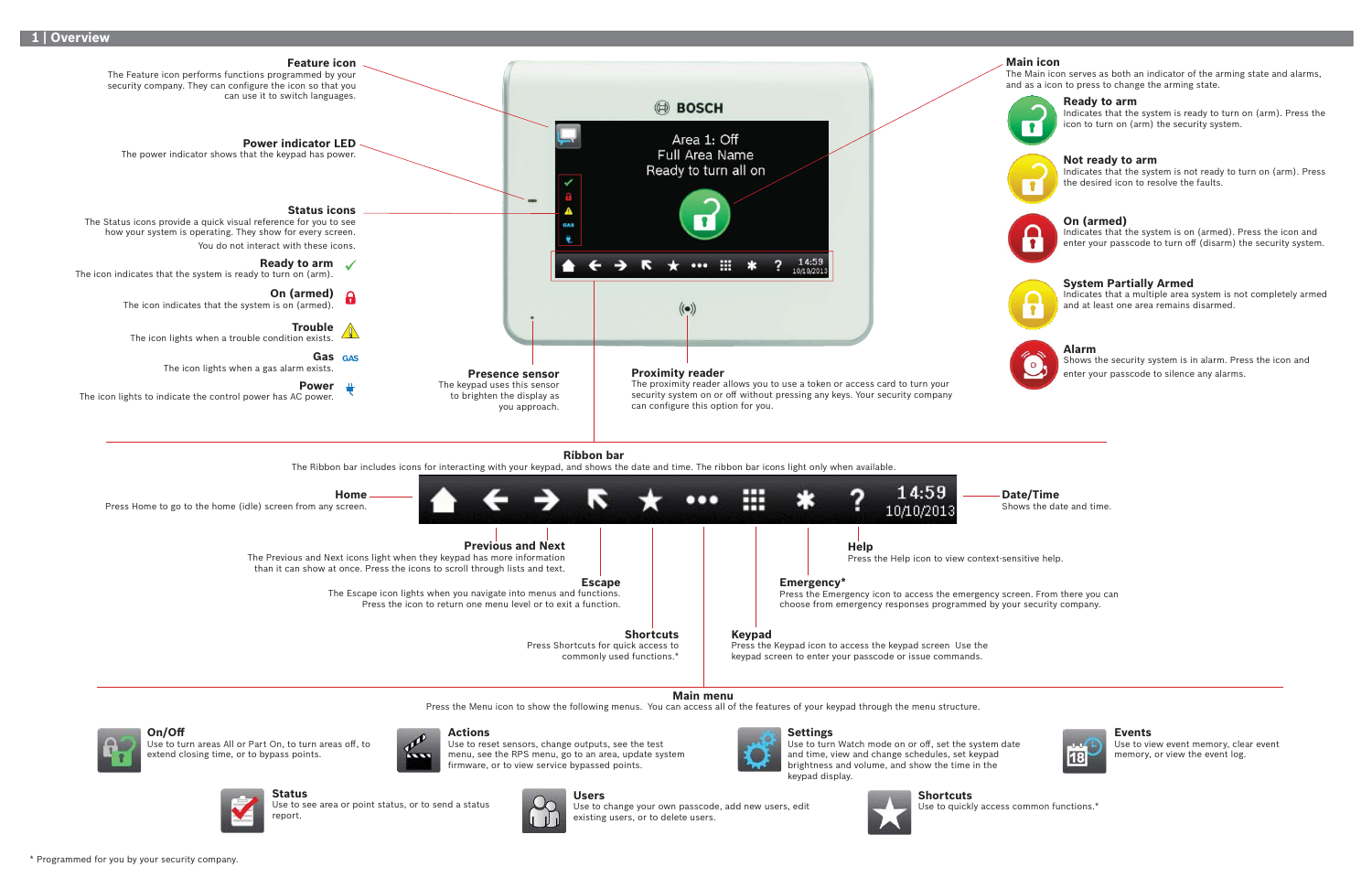**On/Off**

Use to turn areas All or Part On, to turn areas off, to extend closing time, or to bypass points.

Use to reset sensors, change outputs, see the test menu, see the RPS menu, go to an area, update system firmware, or to view service bypassed points.

**Status**

Use to see area or point status, or to send a status

report.



## **Actions**



Use to change your own passcode, add new users, edit existing users, or to delete users.







## **Events**

Use to view event memory, clear event memory, or view the event log.

**Shortcuts**

Use to quickly access common functions.\*

#### **Ready to arm**

Indicates that the system is ready to turn on (arm). Press the icon to turn on (arm) the security system.



## **Main icon**

The Main icon serves as both an indicator of the arming state and alarms, and as a icon to press to change the arming state.



#### **System Partially Armed**

Indicates that a multiple area system is not completely armed and at least one area remains disarmed.



#### **Alarm**

Shows the security system is in alarm. Press the icon and enter your passcode to silence any alarms.

### **On (armed)**

Indicates that the system is on (armed). Press the icon and enter your passcode to turn off (disarm) the security system.



#### **Not ready to arm**

Indicates that the system is not ready to turn on (arm). Press the desired icon to resolve the faults.



\* Programmed for you by your security company.





**Date/Time** Shows the date and time.